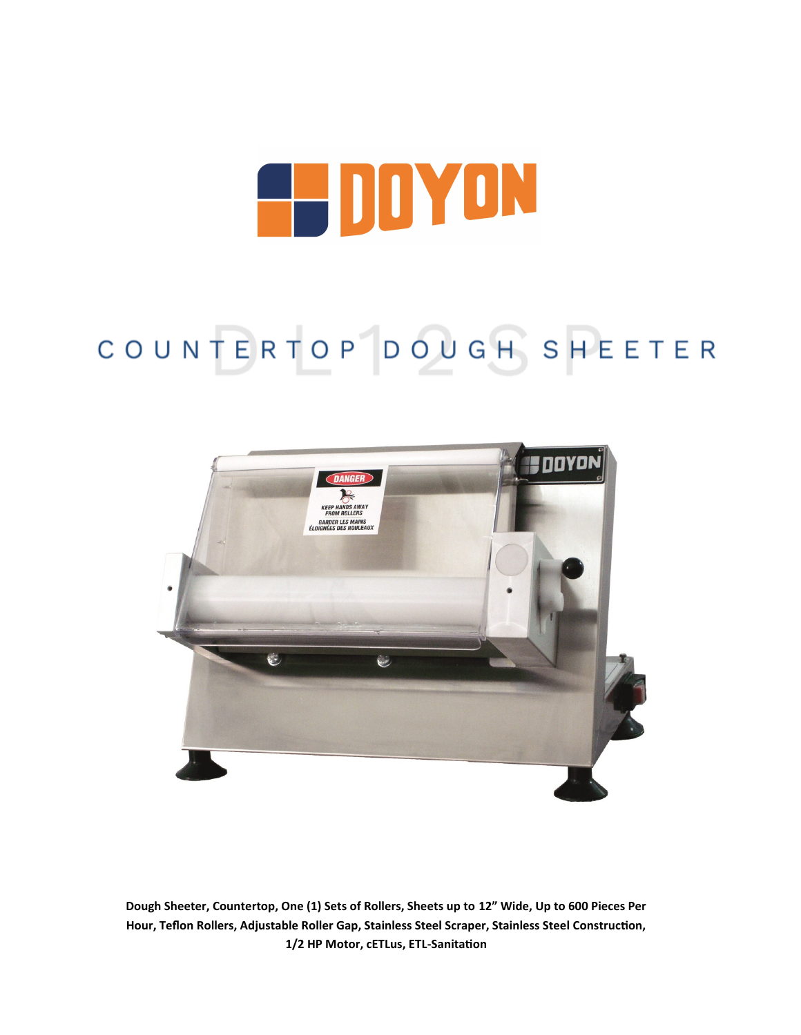# **EL DOYON**

## COUNTERTOP DOUGH SHEETER



**Dough Sheeter, Countertop, One (1) Sets of Rollers, Sheets up to 12" Wide, Up to 600 Pieces Per Hour, Teflon Rollers, Adjustable Roller Gap, Stainless Steel Scraper, Stainless Steel Construction, 1/2 HP Motor, cETLus, ETL-Sanitation**